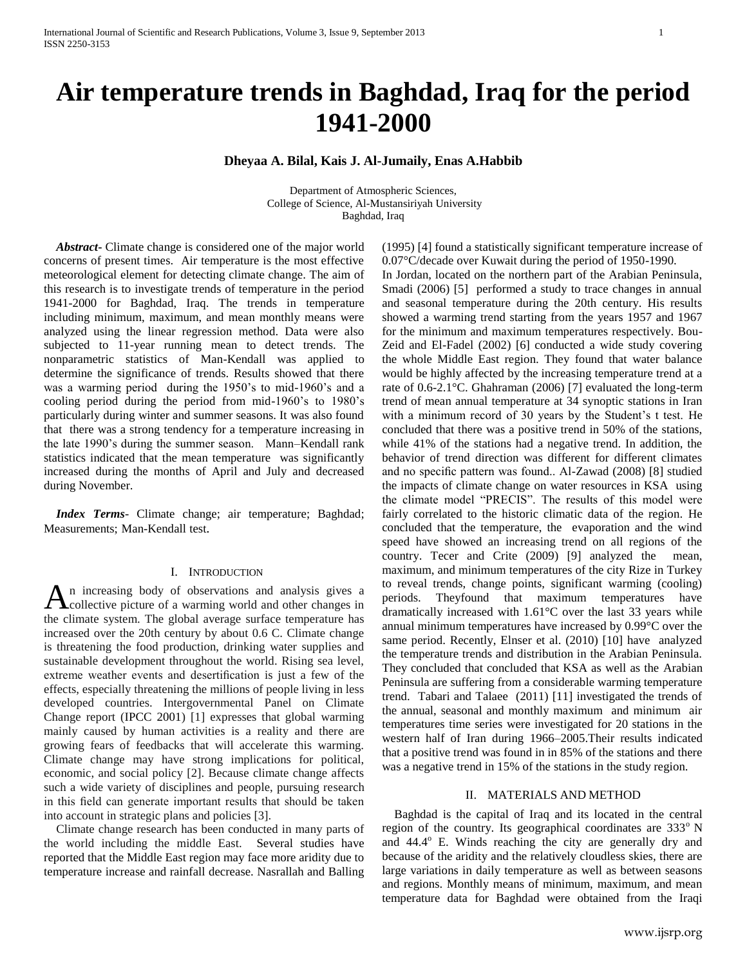# **Air temperature trends in Baghdad, Iraq for the period 1941-2000**

## **Dheyaa A. Bilal, Kais J. Al-Jumaily, Enas A.Habbib**

Department of Atmospheric Sciences, College of Science, Al-Mustansiriyah University Baghdad, Iraq

 *Abstract***-** Climate change is considered one of the major world concerns of present times. Air temperature is the most effective meteorological element for detecting climate change. The aim of this research is to investigate trends of temperature in the period 1941-2000 for Baghdad, Iraq. The trends in temperature including minimum, maximum, and mean monthly means were analyzed using the linear regression method. Data were also subjected to 11-year running mean to detect trends. The nonparametric statistics of Man-Kendall was applied to determine the significance of trends. Results showed that there was a warming period during the 1950's to mid-1960's and a cooling period during the period from mid-1960's to 1980's particularly during winter and summer seasons. It was also found that there was a strong tendency for a temperature increasing in the late 1990's during the summer season. Mann–Kendall rank statistics indicated that the mean temperature was significantly increased during the months of April and July and decreased during November.

 *Index Terms*- Climate change; air temperature; Baghdad; Measurements; Man-Kendall test.

#### I. INTRODUCTION

n increasing body of observations and analysis gives a An increasing body of observations and analysis gives a collective picture of a warming world and other changes in the climate system. The global average surface temperature has increased over the 20th century by about 0.6 C. Climate change is threatening the food production, drinking water supplies and sustainable development throughout the world. Rising sea level, extreme weather events and desertification is just a few of the effects, especially threatening the millions of people living in less developed countries. Intergovernmental Panel on Climate Change report (IPCC 2001) [1] expresses that global warming mainly caused by human activities is a reality and there are growing fears of feedbacks that will accelerate this warming. Climate change may have strong implications for political, economic, and social policy [2]. Because climate change affects such a wide variety of disciplines and people, pursuing research in this field can generate important results that should be taken into account in strategic plans and policies [3].

 Climate change research has been conducted in many parts of the world including the middle East. Several studies have reported that the Middle East region may face more aridity due to temperature increase and rainfall decrease. Nasrallah and Balling

(1995) [4] found a statistically significant temperature increase of 0.07°C/decade over Kuwait during the period of 1950-1990.

In Jordan, located on the northern part of the Arabian Peninsula, Smadi (2006) [5] performed a study to trace changes in annual and seasonal temperature during the 20th century. His results showed a warming trend starting from the years 1957 and 1967 for the minimum and maximum temperatures respectively. Bou-Zeid and El-Fadel (2002) [6] conducted a wide study covering the whole Middle East region. They found that water balance would be highly affected by the increasing temperature trend at a rate of 0.6-2.1°C. Ghahraman (2006) [7] evaluated the long-term trend of mean annual temperature at 34 synoptic stations in Iran with a minimum record of 30 years by the Student's t test. He concluded that there was a positive trend in 50% of the stations, while 41% of the stations had a negative trend. In addition, the behavior of trend direction was different for different climates and no specific pattern was found.. Al-Zawad (2008) [8] studied the impacts of climate change on water resources in KSA using the climate model "PRECIS". The results of this model were fairly correlated to the historic climatic data of the region. He concluded that the temperature, the evaporation and the wind speed have showed an increasing trend on all regions of the country. Tecer and Crite (2009) [9] analyzed the mean, maximum, and minimum temperatures of the city Rize in Turkey to reveal trends, change points, significant warming (cooling) periods. Theyfound that maximum temperatures have dramatically increased with 1.61°C over the last 33 years while annual minimum temperatures have increased by 0.99°C over the same period. Recently, Elnser et al. (2010) [10] have analyzed the temperature trends and distribution in the Arabian Peninsula. They concluded that concluded that KSA as well as the Arabian Peninsula are suffering from a considerable warming temperature trend. Tabari and Talaee (2011) [11] investigated the trends of the annual, seasonal and monthly maximum and minimum air temperatures time series were investigated for 20 stations in the western half of Iran during 1966–2005.Their results indicated that a positive trend was found in in 85% of the stations and there was a negative trend in 15% of the stations in the study region.

### II. MATERIALS AND METHOD

 Baghdad is the capital of Iraq and its located in the central region of the country. Its geographical coordinates are  $333^\circ$  N and  $44.4^\circ$  E. Winds reaching the city are generally dry and because of the aridity and the relatively cloudless skies, there are large variations in daily temperature as well as between seasons and regions. Monthly means of minimum, maximum, and mean temperature data for Baghdad were obtained from the Iraqi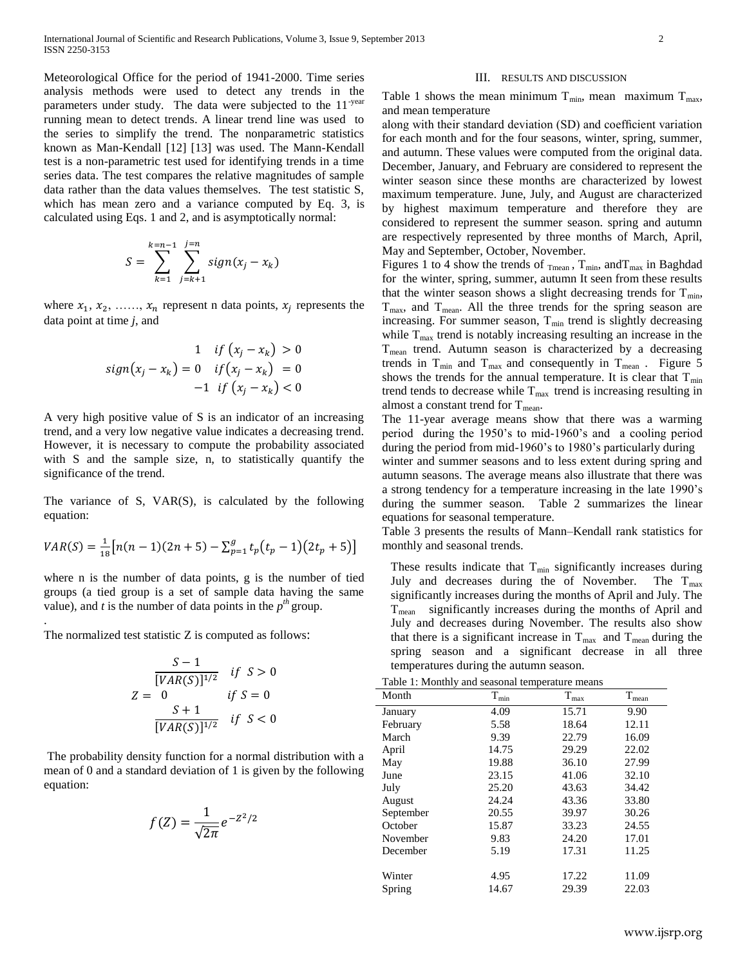Meteorological Office for the period of 1941-2000. Time series analysis methods were used to detect any trends in the parameters under study. The data were subjected to the 11<sup>-year</sup> running mean to detect trends. A linear trend line was used to the series to simplify the trend. The nonparametric statistics known as Man-Kendall [12] [13] was used. The Mann-Kendall test is a non-parametric test used for identifying trends in a time series data. The test compares the relative magnitudes of sample data rather than the data values themselves. The test statistic S, which has mean zero and a variance computed by Eq. 3, is calculated using Eqs. 1 and 2, and is asymptotically normal:

$$
S = \sum_{k=1}^{k=n-1} \sum_{j=k+1}^{j=n} sign(x_j - x_k)
$$

where  $x_1, x_2, \ldots, x_n$  represent n data points,  $x_i$  represents the data point at time *j*, and

$$
sign(x_j - x_k) = 0 \quad \text{if } (x_j - x_k) > 0
$$
\n
$$
sign(x_j - x_k) = 0 \quad \text{if } (x_j - x_k) = 0
$$
\n
$$
-1 \quad \text{if } (x_j - x_k) < 0
$$

A very high positive value of S is an indicator of an increasing trend, and a very low negative value indicates a decreasing trend. However, it is necessary to compute the probability associated with S and the sample size, n, to statistically quantify the significance of the trend.

The variance of S, VAR(S), is calculated by the following equation:

$$
VAR(S) = \frac{1}{18} [n(n-1)(2n+5) - \sum_{p=1}^{g} t_p(t_p - 1)(2t_p + 5)]
$$

where n is the number of data points, g is the number of tied groups (a tied group is a set of sample data having the same value), and *t* is the number of data points in the  $p^{th}$  group.

The normalized test statistic Z is computed as follows:

.

$$
S-1
$$
  
\n
$$
VAR(S)]^{1/2}
$$
 if  $S > 0$   
\n
$$
Z = 0
$$
 if  $S = 0$   
\n
$$
\frac{S+1}{[VAR(S)]^{1/2}}
$$
 if  $S < 0$ 

The probability density function for a normal distribution with a mean of 0 and a standard deviation of 1 is given by the following equation:

$$
f(Z) = \frac{1}{\sqrt{2\pi}}e^{-Z^2/2}
$$

#### III. RESULTS AND DISCUSSION

Table 1 shows the mean minimum  $T_{min}$ , mean maximum  $T_{max}$ , and mean temperature

along with their standard deviation (SD) and coefficient variation for each month and for the four seasons, winter, spring, summer, and autumn. These values were computed from the original data. December, January, and February are considered to represent the winter season since these months are characterized by lowest maximum temperature. June, July, and August are characterized by highest maximum temperature and therefore they are considered to represent the summer season. spring and autumn are respectively represented by three months of March, April, May and September, October, November.

Figures 1 to 4 show the trends of  $_{\text{Tmean}}$ ,  $T_{\text{min}}$ , and  $T_{\text{max}}$  in Baghdad for the winter, spring, summer, autumn It seen from these results that the winter season shows a slight decreasing trends for  $T_{min}$ ,  $T_{\text{max}}$ , and  $T_{\text{mean}}$ . All the three trends for the spring season are increasing. For summer season,  $T_{min}$  trend is slightly decreasing while  $T_{\text{max}}$  trend is notably increasing resulting an increase in the  $T_{mean}$  trend. Autumn season is characterized by a decreasing trends in  $T_{min}$  and  $T_{max}$  and consequently in  $T_{mean}$ . Figure 5 shows the trends for the annual temperature. It is clear that  $T_{min}$ trend tends to decrease while  $T_{\text{max}}$  trend is increasing resulting in almost a constant trend for  $T_{\text{mean}}$ .

The 11-year average means show that there was a warming period during the 1950's to mid-1960's and a cooling period during the period from mid-1960's to 1980's particularly during winter and summer seasons and to less extent during spring and autumn seasons. The average means also illustrate that there was a strong tendency for a temperature increasing in the late 1990's during the summer season. Table 2 summarizes the linear equations for seasonal temperature.

Table 3 presents the results of Mann–Kendall rank statistics for monthly and seasonal trends.

These results indicate that  $T_{min}$  significantly increases during July and decreases during the of November. The  $T_{\text{max}}$ significantly increases during the months of April and July. The  $T<sub>mean</sub>$  significantly increases during the months of April and July and decreases during November. The results also show that there is a significant increase in  $T_{\text{max}}$  and  $T_{\text{mean}}$  during the spring season and a significant decrease in all three temperatures during the autumn season.

|  |  |  |  |  | Table 1: Monthly and seasonal temperature means |  |
|--|--|--|--|--|-------------------------------------------------|--|
|--|--|--|--|--|-------------------------------------------------|--|

| rapic 1. <b><i>Profitmy</i></b> and beasonal temperature means |               |               |                |  |  |
|----------------------------------------------------------------|---------------|---------------|----------------|--|--|
| Month                                                          | $T_{\rm min}$ | $T_{\rm max}$ | $\rm T_{mean}$ |  |  |
| January                                                        | 4.09          | 15.71         | 9.90           |  |  |
| February                                                       | 5.58          | 18.64         | 12.11          |  |  |
| March                                                          | 9.39          | 22.79         | 16.09          |  |  |
| April                                                          | 14.75         | 29.29         | 22.02          |  |  |
| May                                                            | 19.88         | 36.10         | 27.99          |  |  |
| June                                                           | 23.15         | 41.06         | 32.10          |  |  |
| July                                                           | 25.20         | 43.63         | 34.42          |  |  |
| August                                                         | 24.24         | 43.36         | 33.80          |  |  |
| September                                                      | 20.55         | 39.97         | 30.26          |  |  |
| October                                                        | 15.87         | 33.23         | 24.55          |  |  |
| November                                                       | 9.83          | 24.20         | 17.01          |  |  |
| December                                                       | 5.19          | 17.31         | 11.25          |  |  |
|                                                                |               |               |                |  |  |
| Winter                                                         | 4.95          | 17.22         | 11.09          |  |  |
| Spring                                                         | 14.67         | 29.39         | 22.03          |  |  |
|                                                                |               |               |                |  |  |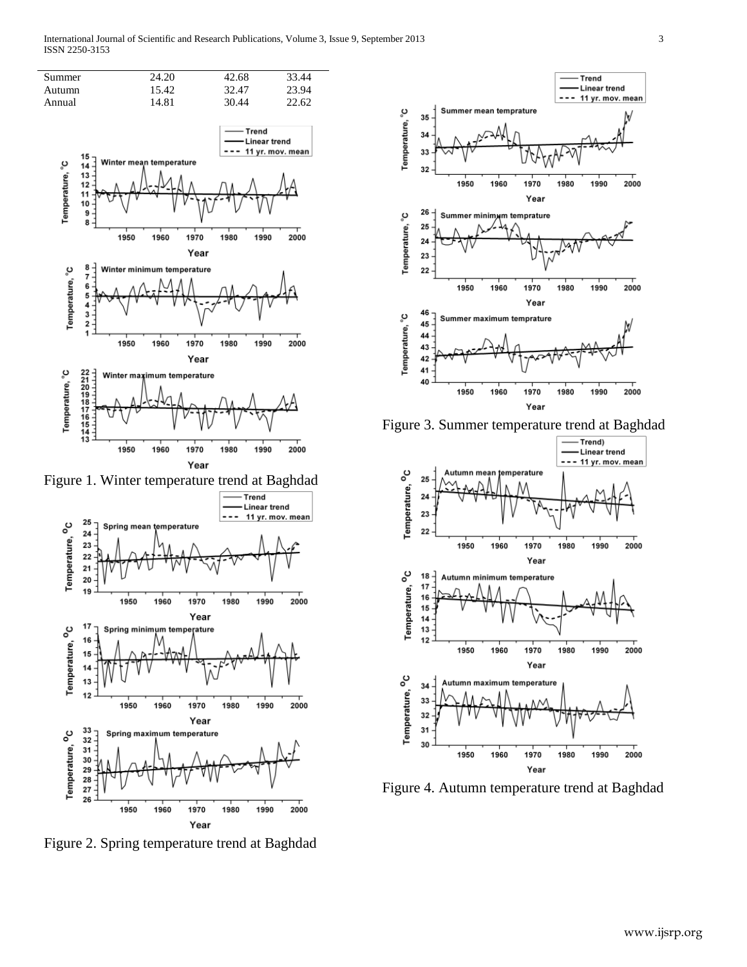International Journal of Scientific and Research Publications, Volume 3, Issue 9, September 2013 3 ISSN 2250-3153





Figure 2. Spring temperature trend at Baghdad



Figure 3. Summer temperature trend at Baghdad



Figure 4. Autumn temperature trend at Baghdad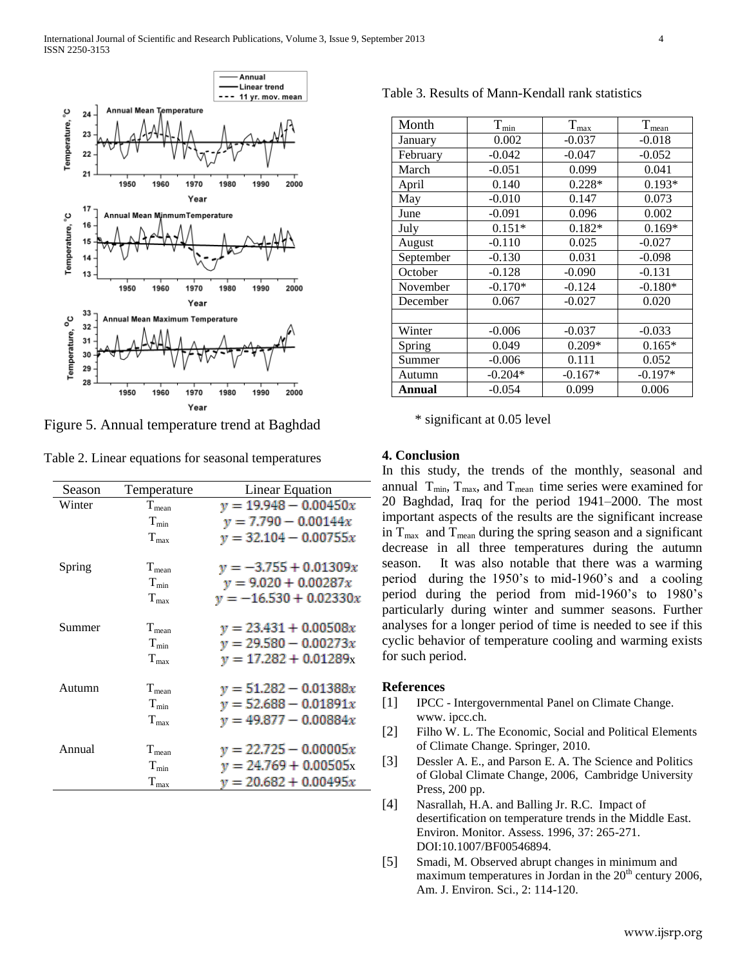

Figure 5. Annual temperature trend at Baghdad

| Table 2. Linear equations for seasonal temperatures |  |
|-----------------------------------------------------|--|
|-----------------------------------------------------|--|

| Season | Temperature      | <b>Linear Equation</b>   |
|--------|------------------|--------------------------|
| Winter | $T_{mean}$       | $y = 19.948 - 0.00450x$  |
|        | $T_{min}$        | $y = 7.790 - 0.00144x$   |
|        | $T_{\text{max}}$ | $y = 32.104 - 0.00755x$  |
| Spring | $T_{\rm mean}$   | $y = -3.755 + 0.01309x$  |
|        | $T_{\min}$       | $y = 9.020 + 0.00287x$   |
|        | $T_{max}$        | $y = -16.530 + 0.02330x$ |
| Summer | $T_{\rm mean}$   | $y = 23.431 + 0.00508x$  |
|        | $T_{\min}$       | $y = 29.580 - 0.00273x$  |
|        | $T_{\rm max}$    | $y = 17.282 + 0.01289x$  |
| Autumn | $T_{mean}$       | $y = 51.282 - 0.01388x$  |
|        | $T_{min}$        | $y = 52.688 - 0.01891x$  |
|        | $T_{max}$        | $y = 49.877 - 0.00884x$  |
| Annual | $T_{mean}$       | $y = 22.725 - 0.00005x$  |
|        | $T_{min}$        | $y = 24.769 + 0.00505x$  |
|        | $T_{\text{max}}$ | $y = 20.682 + 0.00495x$  |

Table 3. Results of Mann-Kendall rank statistics

| Month     | $T_{min}$ | $T_{\text{max}}$ | $T_{\text{mean}}$ |
|-----------|-----------|------------------|-------------------|
| January   | 0.002     | $-0.037$         | $-0.018$          |
|           |           |                  |                   |
| February  | $-0.042$  | $-0.047$         | $-0.052$          |
| March     | $-0.051$  | 0.099            | 0.041             |
| April     | 0.140     | $0.228*$         | $0.193*$          |
| May       | $-0.010$  | 0.147            | 0.073             |
| June      | $-0.091$  | 0.096            | 0.002             |
| July      | $0.151*$  | $0.182*$         | $0.169*$          |
| August    | $-0.110$  | 0.025            | $-0.027$          |
| September | $-0.130$  | 0.031            | $-0.098$          |
| October   | $-0.128$  | $-0.090$         | $-0.131$          |
| November  | $-0.170*$ | $-0.124$         | $-0.180*$         |
| December  | 0.067     | $-0.027$         | 0.020             |
|           |           |                  |                   |
| Winter    | $-0.006$  | $-0.037$         | $-0.033$          |
| Spring    | 0.049     | $0.209*$         | $0.165*$          |
| Summer    | $-0.006$  | 0.111            | 0.052             |
| Autumn    | $-0.204*$ | $-0.167*$        | $-0.197*$         |
| Annual    | $-0.054$  | 0.099            | 0.006             |

\* significant at 0.05 level

#### **4. Conclusion**

In this study, the trends of the monthly, seasonal and annual  $T_{min}$ ,  $T_{max}$ , and  $T_{mean}$  time series were examined for 20 Baghdad, Iraq for the period 1941–2000. The most important aspects of the results are the significant increase in  $T_{\text{max}}$  and  $T_{\text{mean}}$  during the spring season and a significant decrease in all three temperatures during the autumn season. It was also notable that there was a warming period during the 1950's to mid-1960's and a cooling period during the period from mid-1960's to 1980's particularly during winter and summer seasons. Further analyses for a longer period of time is needed to see if this cyclic behavior of temperature cooling and warming exists for such period.

#### **References**

- [1] IPCC Intergovernmental Panel on Climate Change. www. ipcc.ch.
- [2] Filho W. L. The Economic, Social and Political Elements of Climate Change. Springer, 2010.
- [3] Dessler A. E., and Parson E. A. The Science and Politics of Global Climate Change, 2006, Cambridge University Press, 200 pp.
- [4] Nasrallah, H.A. and Balling Jr. R.C. Impact of desertification on temperature trends in the Middle East. Environ. Monitor. Assess. 1996, 37: 265-271. DOI:10.1007/BF00546894.
- [5] Smadi, M. Observed abrupt changes in minimum and maximum temperatures in Jordan in the  $20<sup>th</sup>$  century 2006, Am. J. Environ. Sci., 2: 114-120.